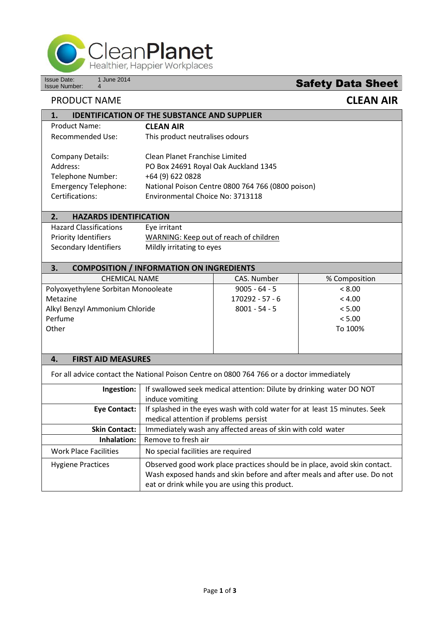

Issue Date: 1 June 2014<br>Issue Number: 4

 $\frac{1 \text{ June } 2014}{4}$ 

## PRODUCT NAME **CLEAN AIR**

| <b>IDENTIFICATION OF THE SUBSTANCE AND SUPPLIER</b><br>1. |                                                   |                   |               |  |  |
|-----------------------------------------------------------|---------------------------------------------------|-------------------|---------------|--|--|
| <b>Product Name:</b>                                      | <b>CLEAN AIR</b>                                  |                   |               |  |  |
| <b>Recommended Use:</b>                                   | This product neutralises odours                   |                   |               |  |  |
|                                                           |                                                   |                   |               |  |  |
| <b>Company Details:</b>                                   | Clean Planet Franchise Limited                    |                   |               |  |  |
| Address:                                                  | PO Box 24691 Royal Oak Auckland 1345              |                   |               |  |  |
| Telephone Number:                                         | +64 (9) 622 0828                                  |                   |               |  |  |
| <b>Emergency Telephone:</b>                               | National Poison Centre 0800 764 766 (0800 poison) |                   |               |  |  |
| Certifications:                                           | Environmental Choice No: 3713118                  |                   |               |  |  |
|                                                           |                                                   |                   |               |  |  |
| 2.<br><b>HAZARDS IDENTIFICATION</b>                       |                                                   |                   |               |  |  |
| <b>Hazard Classifications</b>                             | Eye irritant                                      |                   |               |  |  |
| Priority Identifiers                                      | WARNING: Keep out of reach of children            |                   |               |  |  |
| Secondary Identifiers                                     | Mildly irritating to eyes                         |                   |               |  |  |
|                                                           |                                                   |                   |               |  |  |
| 3.<br><b>COMPOSITION / INFORMATION ON INGREDIENTS</b>     |                                                   |                   |               |  |  |
| <b>CHEMICAL NAME</b>                                      |                                                   | CAS. Number       | % Composition |  |  |
| Polyoxyethylene Sorbitan Monooleate                       |                                                   | $9005 - 64 - 5$   | < 8.00        |  |  |
| Metazine                                                  |                                                   | $170292 - 57 - 6$ | < 4.00        |  |  |
| Alkyl Benzyl Ammonium Chloride                            |                                                   | $8001 - 54 - 5$   | < 5.00        |  |  |
| Perfume                                                   |                                                   |                   | < 5.00        |  |  |
| Other                                                     |                                                   |                   | To 100%       |  |  |
|                                                           |                                                   |                   |               |  |  |
|                                                           |                                                   |                   |               |  |  |
| <b>FIRST AID MEASURES</b><br>4.                           |                                                   |                   |               |  |  |

For all advice contact the National Poison Centre on 0800 764 766 or a doctor immediately

| Ingestion:                   | If swallowed seek medical attention: Dilute by drinking water DO NOT                                                                                                                                     |  |
|------------------------------|----------------------------------------------------------------------------------------------------------------------------------------------------------------------------------------------------------|--|
|                              | induce vomiting                                                                                                                                                                                          |  |
| <b>Eye Contact:</b>          | If splashed in the eyes wash with cold water for at least 15 minutes. Seek                                                                                                                               |  |
|                              | medical attention if problems persist                                                                                                                                                                    |  |
| <b>Skin Contact:</b>         | Immediately wash any affected areas of skin with cold water                                                                                                                                              |  |
| Inhalation:                  | Remove to fresh air                                                                                                                                                                                      |  |
| <b>Work Place Facilities</b> | No special facilities are required                                                                                                                                                                       |  |
| <b>Hygiene Practices</b>     | Observed good work place practices should be in place, avoid skin contact.<br>Wash exposed hands and skin before and after meals and after use. Do not<br>eat or drink while you are using this product. |  |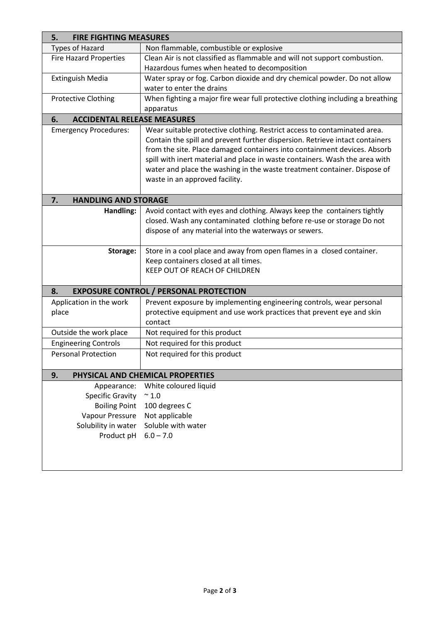| <b>FIRE FIGHTING MEASURES</b><br>5.      |                                                                                                            |  |  |  |
|------------------------------------------|------------------------------------------------------------------------------------------------------------|--|--|--|
| <b>Types of Hazard</b>                   | Non flammable, combustible or explosive                                                                    |  |  |  |
| <b>Fire Hazard Properties</b>            | Clean Air is not classified as flammable and will not support combustion.                                  |  |  |  |
|                                          | Hazardous fumes when heated to decomposition                                                               |  |  |  |
| <b>Extinguish Media</b>                  | Water spray or fog. Carbon dioxide and dry chemical powder. Do not allow                                   |  |  |  |
|                                          | water to enter the drains                                                                                  |  |  |  |
| <b>Protective Clothing</b>               | When fighting a major fire wear full protective clothing including a breathing                             |  |  |  |
|                                          | apparatus                                                                                                  |  |  |  |
| <b>ACCIDENTAL RELEASE MEASURES</b><br>6. |                                                                                                            |  |  |  |
| <b>Emergency Procedures:</b>             | Wear suitable protective clothing. Restrict access to contaminated area.                                   |  |  |  |
|                                          | Contain the spill and prevent further dispersion. Retrieve intact containers                               |  |  |  |
|                                          | from the site. Place damaged containers into containment devices. Absorb                                   |  |  |  |
|                                          | spill with inert material and place in waste containers. Wash the area with                                |  |  |  |
|                                          | water and place the washing in the waste treatment container. Dispose of<br>waste in an approved facility. |  |  |  |
|                                          |                                                                                                            |  |  |  |
| <b>HANDLING AND STORAGE</b><br>7.        |                                                                                                            |  |  |  |
| Handling:                                | Avoid contact with eyes and clothing. Always keep the containers tightly                                   |  |  |  |
|                                          | closed. Wash any contaminated clothing before re-use or storage Do not                                     |  |  |  |
|                                          | dispose of any material into the waterways or sewers.                                                      |  |  |  |
|                                          |                                                                                                            |  |  |  |
| Storage:                                 | Store in a cool place and away from open flames in a closed container.                                     |  |  |  |
|                                          | Keep containers closed at all times.                                                                       |  |  |  |
|                                          | KEEP OUT OF REACH OF CHILDREN                                                                              |  |  |  |
| 8.                                       | <b>EXPOSURE CONTROL / PERSONAL PROTECTION</b>                                                              |  |  |  |
| Application in the work                  | Prevent exposure by implementing engineering controls, wear personal                                       |  |  |  |
| place                                    | protective equipment and use work practices that prevent eye and skin                                      |  |  |  |
|                                          | contact                                                                                                    |  |  |  |
| Outside the work place                   | Not required for this product                                                                              |  |  |  |
| <b>Engineering Controls</b>              | Not required for this product                                                                              |  |  |  |
| <b>Personal Protection</b>               | Not required for this product                                                                              |  |  |  |
|                                          |                                                                                                            |  |  |  |
| 9.                                       | PHYSICAL AND CHEMICAL PROPERTIES                                                                           |  |  |  |
| Appearance:                              | White coloured liquid                                                                                      |  |  |  |
| <b>Specific Gravity</b>                  | $\sim 1.0$                                                                                                 |  |  |  |
| <b>Boiling Point</b>                     | 100 degrees C                                                                                              |  |  |  |
| Vapour Pressure                          | Not applicable                                                                                             |  |  |  |
| Solubility in water                      | Soluble with water                                                                                         |  |  |  |
| Product pH                               | $6.0 - 7.0$                                                                                                |  |  |  |
|                                          |                                                                                                            |  |  |  |
|                                          |                                                                                                            |  |  |  |
|                                          |                                                                                                            |  |  |  |